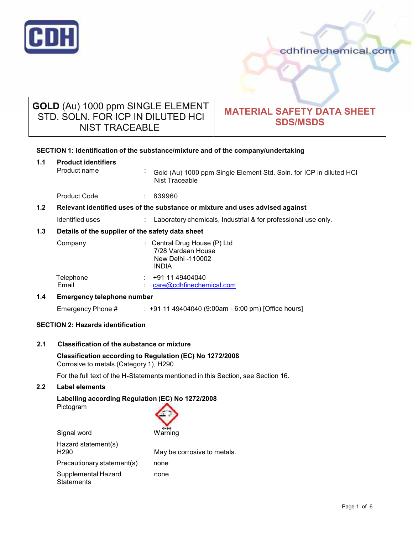

# **GOLD** (Au) 1000 ppm SINGLE ELEMENT STD. SOLN. FOR ICP IN DILUTED HCl NIST TRACEABLE

# **MATERIAL SAFETY DATA SHEET SDS/MSDS**

# **SECTION 1: Identification of the substance/mixture and of the company/undertaking**

| 1.1                                                     | <b>Product identifiers</b><br>Product name<br>$\blacksquare$                  | Gold (Au) 1000 ppm Single Element Std. Soln. for ICP in diluted HCI<br>Nist Traceable   |  |  |
|---------------------------------------------------------|-------------------------------------------------------------------------------|-----------------------------------------------------------------------------------------|--|--|
|                                                         | <b>Product Code</b>                                                           | : 839960                                                                                |  |  |
| 1.2 <sub>2</sub>                                        | Relevant identified uses of the substance or mixture and uses advised against |                                                                                         |  |  |
|                                                         | Identified uses                                                               | Laboratory chemicals, Industrial & for professional use only.                           |  |  |
| 1.3<br>Details of the supplier of the safety data sheet |                                                                               |                                                                                         |  |  |
|                                                         | Company                                                                       | : Central Drug House (P) Ltd<br>7/28 Vardaan House<br>New Delhi -110002<br><b>INDIA</b> |  |  |
|                                                         | Telephone<br>Email                                                            | : 91149404040<br>care@cdhfinechemical.com                                               |  |  |
| 1.4<br><b>Emergency telephone number</b>                |                                                                               |                                                                                         |  |  |
|                                                         | Emergency Phone #                                                             | : +91 11 49404040 (9:00am - 6:00 pm) [Office hours]                                     |  |  |
| <b>SECTION 2: Hazards identification</b>                |                                                                               |                                                                                         |  |  |

## **2.1 Classification of the substance ormixture**

## **Classification according to Regulation (EC) No 1272/2008** Corrosive to metals (Category 1), H290

For the full text of the H-Statements mentioned in this Section, see Section 16.

# **2.2 Label elements**

# **Labelling according Regulation (EC) No 1272/2008** Pictogram

| Signal word                              | GHS05<br>Warning            |
|------------------------------------------|-----------------------------|
| Hazard statement(s)<br>H <sub>290</sub>  | May be corrosive to metals. |
| Precautionary statement(s)               | none                        |
| Supplemental Hazard<br><b>Statements</b> | none                        |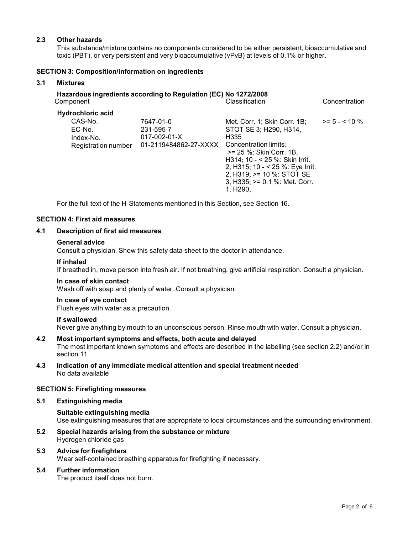## **2.3 Other hazards**

This substance/mixture contains no components considered to be either persistent, bioaccumulative and toxic (PBT), or very persistent and very bioaccumulative (vPvB) at levels of 0.1% or higher.

## **SECTION 3: Composition/information on ingredients**

## **3.1 Mixtures**

| Component                                                                         | Hazardous ingredients according to Regulation (EC) No 1272/2008         | Classification                                                                                                                                                                                                                      | Concentration    |
|-----------------------------------------------------------------------------------|-------------------------------------------------------------------------|-------------------------------------------------------------------------------------------------------------------------------------------------------------------------------------------------------------------------------------|------------------|
| <b>Hydrochloric acid</b><br>CAS-No.<br>EC-No.<br>Index-No.<br>Registration number | 7647-01-0<br>231-595-7<br>$017 - 002 - 01 - X$<br>01-2119484862-27-XXXX | Met. Corr. 1; Skin Corr. 1B;<br>STOT SE 3; H290, H314,<br>H <sub>335</sub><br>Concentration limits:<br>>= 25 %: Skin Corr, 1B.<br>H314; 10 - < 25 %: Skin Irrit.<br>2, H315; 10 - < 25 %: Eye Irrit.<br>2, H319; $>= 10$ %: STOT SE | $>= 5 - < 10 \%$ |
|                                                                                   |                                                                         | $3, H335$ ; $>= 0.1$ %: Met. Corr.<br>1. H <sub>290</sub> :                                                                                                                                                                         |                  |

For the full text of the H-Statements mentioned in this Section, see Section 16.

# **SECTION 4: First aid measures**

## **4.1 Description of first aid measures**

#### **General advice**

Consult a physician. Show this safety data sheet to the doctor in attendance.

#### **If inhaled**

If breathed in, move person into fresh air. If not breathing, give artificial respiration. Consult a physician.

#### **In case of skin contact**

Wash off with soap and plenty of water. Consult a physician.

#### **In case of eye contact**

Flush eyes with water as a precaution.

## **If swallowed**

Never give anything by mouth to an unconscious person. Rinse mouth with water. Consult a physician.

# **4.2 Most important symptoms and effects, both acute and delayed**

The most important known symptoms and effects are described in the labelling (see section 2.2) and/or in section 11

**4.3 Indication of any immediate medical attention and special treatment needed** No data available

## **SECTION 5: Firefighting measures**

## **5.1 Extinguishing media**

## **Suitable extinguishing media**

Use extinguishing measures that are appropriate to local circumstances and the surrounding environment.

**5.2 Special hazards arising from the substance ormixture** Hydrogen chloride gas

## **5.3 Advice for firefighters**

Wear self-contained breathing apparatus for firefighting if necessary.

## **5.4 Further information**

The product itself does not burn.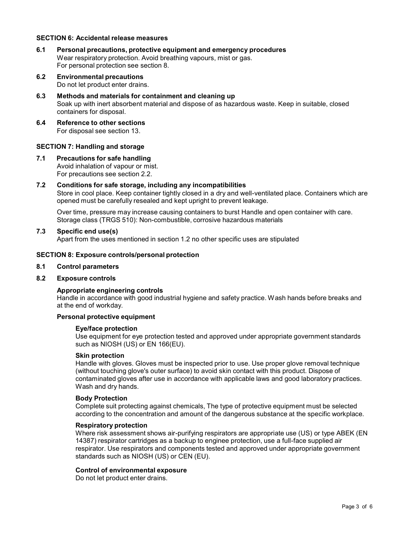#### **SECTION 6: Accidental release measures**

- **6.1 Personal precautions, protective equipment and emergency procedures** Wear respiratory protection. Avoid breathing vapours, mist or gas. For personal protection see section 8.
- **6.2 Environmental precautions** Do not let product enter drains.
- **6.3 Methods and materials for containment and cleaning up** Soak up with inert absorbent material and dispose of as hazardous waste. Keep in suitable, closed containers for disposal.
- **6.4 Reference to other sections** For disposal see section 13.

## **SECTION 7: Handling and storage**

**7.1 Precautions for safe handling** Avoid inhalation of vapour or mist. For precautions see section 2.2.

#### **7.2 Conditions for safe storage, including any incompatibilities**

Store in cool place. Keep container tightly closed in a dry and well-ventilated place. Containers which are opened must be carefully resealed and kept upright to prevent leakage.

Over time, pressure may increase causing containers to burst Handle and open container with care. Storage class (TRGS 510): Non-combustible, corrosive hazardous materials

#### **7.3 Specific end use(s)**

Apart from the uses mentioned in section 1.2 no other specific uses are stipulated

#### **SECTION 8: Exposure controls/personal protection**

**8.1 Control parameters**

## **8.2 Exposure controls**

## **Appropriate engineering controls**

Handle in accordance with good industrial hygiene and safety practice. Wash hands before breaks and at the end of workday.

## **Personal protective equipment**

#### **Eye/face protection**

Use equipment for eye protection tested and approved under appropriate government standards such as NIOSH (US) or EN 166(EU).

#### **Skin protection**

Handle with gloves. Gloves must be inspected prior to use. Use proper glove removal technique (without touching glove's outer surface) to avoid skin contact with this product. Dispose of contaminated gloves after use in accordance with applicable laws and good laboratory practices. Wash and dry hands.

#### **Body Protection**

Complete suit protecting against chemicals, The type of protective equipment must be selected according to the concentration and amount of the dangerous substance at the specific workplace.

#### **Respiratory protection**

Where risk assessment shows air-purifying respirators are appropriate use (US) or type ABEK (EN 14387) respirator cartridges as a backup to enginee protection, use a full-face supplied air respirator. Use respirators and components tested and approved under appropriate government standards such as NIOSH (US) or CEN (EU).

#### **Control of environmental exposure**

Do not let product enter drains.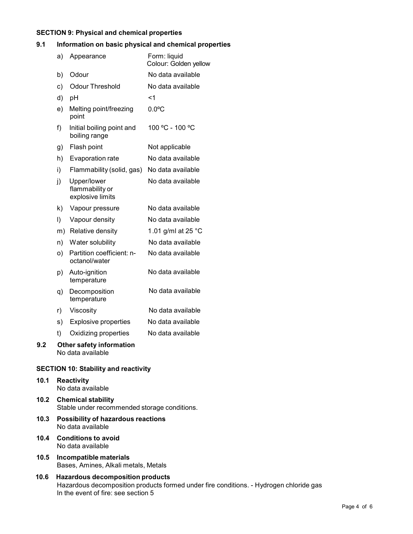#### **SECTION 9: Physical and chemical properties**

# **9.1 Information on basic physical and chemical properties**

|     | a) | Appearance                                           | Form: liquid<br>Colour: Golden yellow |
|-----|----|------------------------------------------------------|---------------------------------------|
|     | b) | Odour                                                | No data available                     |
|     | c) | <b>Odour Threshold</b>                               | No data available                     |
|     | d) | pH                                                   | <1                                    |
|     | e) | Melting point/freezing<br>point                      | $0.0$ °C                              |
|     | f) | Initial boiling point and<br>boiling range           | 100 °C - 100 °C                       |
|     | g) | Flash point                                          | Not applicable                        |
|     | h) | Evaporation rate                                     | No data available                     |
|     | i) | Flammability (solid, gas)                            | No data available                     |
|     | j) | Upper/lower<br>flammability or<br>explosive limits   | No data available                     |
|     | k) | Vapour pressure                                      | No data available                     |
|     | I) | Vapour density                                       | No data available                     |
|     |    | m) Relative density                                  | 1.01 g/ml at 25 °C                    |
|     | n) | Water solubility                                     | No data available                     |
|     | O) | Partition coefficient: n-<br>octanol/water           | No data available                     |
|     | p) | Auto-ignition<br>temperature                         | No data available                     |
|     | q) | Decomposition<br>temperature                         | No data available                     |
|     | r) | Viscosity                                            | No data available                     |
|     | s) | <b>Explosive properties</b>                          | No data available                     |
|     | t) | Oxidizing properties                                 | No data available                     |
| 9.2 |    | <b>Other safety information</b><br>No data available |                                       |

# **SECTION 10: Stability and reactivity**

# **10.1 Reactivity**

- No data available
- **10.2 Chemical stability** Stable under recommended storage conditions.
- **10.3 Possibility of hazardous reactions** No data available
- **10.4 Conditions to avoid** No data available
- **10.5 Incompatible materials** Bases, Amines, Alkali metals, Metals
- **10.6 Hazardous decomposition products** Hazardous decomposition products formed under fire conditions. - Hydrogen chloride gas In the event of fire: see section 5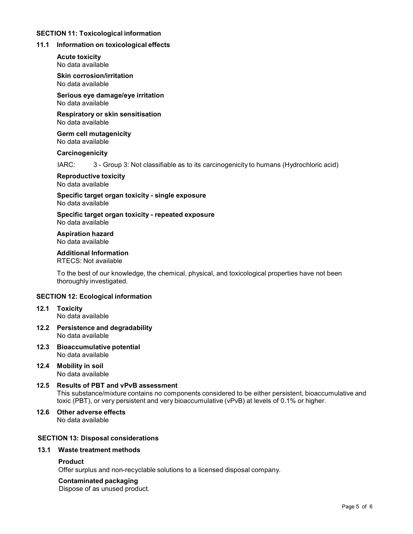## **SECTION 11: Toxicological information**

#### **11.1 Information on toxicological effects**

**Acute toxicity** No data available

**Skin corrosion/irritation** No data available

**Serious eye damage/eye irritation** No data available

**Respiratory orskin sensitisation** No data available

**Germ cell mutagenicity** No data available

#### **Carcinogenicity**

IARC: 3 - Group 3: Not classifiable as to its carcinogenicity to humans (Hydrochloric acid)

**Reproductive toxicity** No data available

**Specific target organ toxicity - single exposure** No data available

**Specific target organ toxicity - repeated exposure** No data available

**Aspiration hazard** No data available

#### **Additional Information**

RTECS: Not available

To the best of our knowledge, the chemical, physical, and toxicological properties have not been thoroughly investigated.

# **SECTION 12: Ecological information**

- **12.1 Toxicity** No data available
- **12.2 Persistence and degradability** No data available
- **12.3 Bioaccumulative potential** No data available

**12.4 Mobility in soil** No data available

**12.5 Results of PBT and vPvB assessment** This substance/mixture contains no components considered to be either persistent, bioaccumulative and toxic (PBT), or very persistent and very bioaccumulative (vPvB) at levels of 0.1% or higher.

**12.6 Other adverse effects** No data available

## **SECTION 13: Disposal considerations**

#### **13.1 Waste treatment methods**

#### **Product**

Offer surplus and non-recyclable solutions to a licensed disposal company.

#### **Contaminated packaging**

Dispose of as unused product.